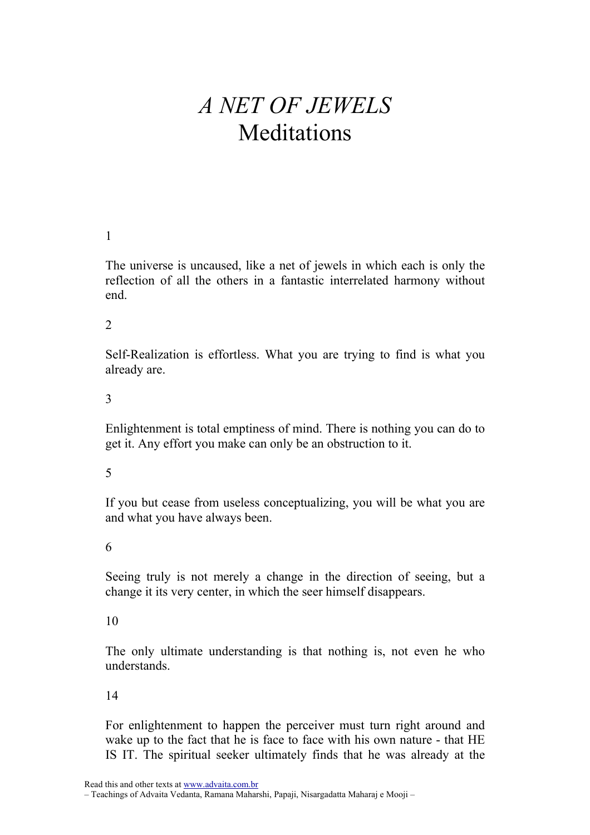# A NET OF JEWELS Meditations

## 1

The universe is uncaused, like a net of jewels in which each is only the reflection of all the others in a fantastic interrelated harmony without end.

#### 2

Self-Realization is effortless. What you are trying to find is what you already are.

#### 3

Enlightenment is total emptiness of mind. There is nothing you can do to get it. Any effort you make can only be an obstruction to it.

#### 5

If you but cease from useless conceptualizing, you will be what you are and what you have always been.

#### 6

Seeing truly is not merely a change in the direction of seeing, but a change it its very center, in which the seer himself disappears.

#### 10

The only ultimate understanding is that nothing is, not even he who understands.

## 14

For enlightenment to happen the perceiver must turn right around and wake up to the fact that he is face to face with his own nature - that HE IS IT. The spiritual seeker ultimately finds that he was already at the

Read this and other texts at www.advaita.com.br

– Teachings of Advaita Vedanta, Ramana Maharshi, Papaji, Nisargadatta Maharaj e Mooji –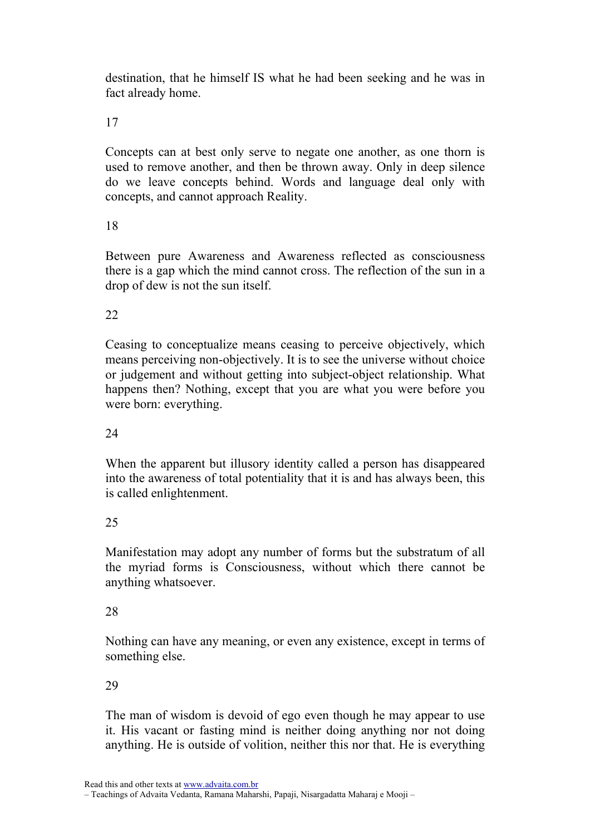destination, that he himself IS what he had been seeking and he was in fact already home.

17

Concepts can at best only serve to negate one another, as one thorn is used to remove another, and then be thrown away. Only in deep silence do we leave concepts behind. Words and language deal only with concepts, and cannot approach Reality.

# 18

Between pure Awareness and Awareness reflected as consciousness there is a gap which the mind cannot cross. The reflection of the sun in a drop of dew is not the sun itself.

# 22

Ceasing to conceptualize means ceasing to perceive objectively, which means perceiving non-objectively. It is to see the universe without choice or judgement and without getting into subject-object relationship. What happens then? Nothing, except that you are what you were before you were born: everything.

# 24

When the apparent but illusory identity called a person has disappeared into the awareness of total potentiality that it is and has always been, this is called enlightenment.

# 25

Manifestation may adopt any number of forms but the substratum of all the myriad forms is Consciousness, without which there cannot be anything whatsoever.

# 28

Nothing can have any meaning, or even any existence, except in terms of something else.

# 29

The man of wisdom is devoid of ego even though he may appear to use it. His vacant or fasting mind is neither doing anything nor not doing anything. He is outside of volition, neither this nor that. He is everything

<sup>–</sup> Teachings of Advaita Vedanta, Ramana Maharshi, Papaji, Nisargadatta Maharaj e Mooji –